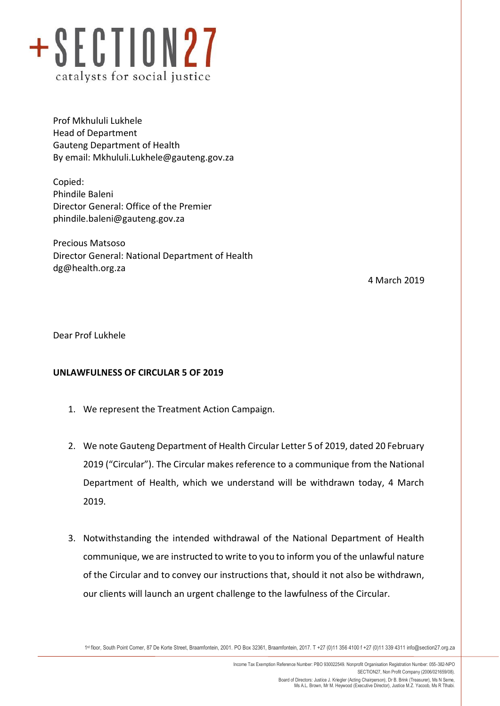

Prof Mkhululi Lukhele Head of Department Gauteng Department of Health By email: [Mkhululi.Lukhele@gauteng.gov.za](mailto:Mkhululi.Lukhele@gauteng.gov.za)

Copied: Phindile Baleni Director General: Office of the Premier [phindile.baleni@gauteng.gov.za](mailto:phindile.baleni@gauteng.gov.za)

Precious Matsoso Director General: National Department of Health [dg@health.org.za](mailto:dg@health.org.za)

4 March 2019

Dear Prof Lukhele

## **UNLAWFULNESS OF CIRCULAR 5 OF 2019**

- 1. We represent the Treatment Action Campaign.
- 2. We note Gauteng Department of Health Circular Letter 5 of 2019, dated 20 February 2019 ("Circular"). The Circular makes reference to a communique from the National Department of Health, which we understand will be withdrawn today, 4 March 2019.
- 3. Notwithstanding the intended withdrawal of the National Department of Health communique, we are instructed to write to you to inform you of the unlawful nature of the Circular and to convey our instructions that, should it not also be withdrawn, our clients will launch an urgent challenge to the lawfulness of the Circular.

1 st floor, South Point Corner, 87 De Korte Street, Braamfontein, 2001. PO Box 32361, Braamfontein, 2017. T +27 (0)11 356 4100 f +27 (0)11 339 4311 info@section27.org.za

**www.section27.org.za**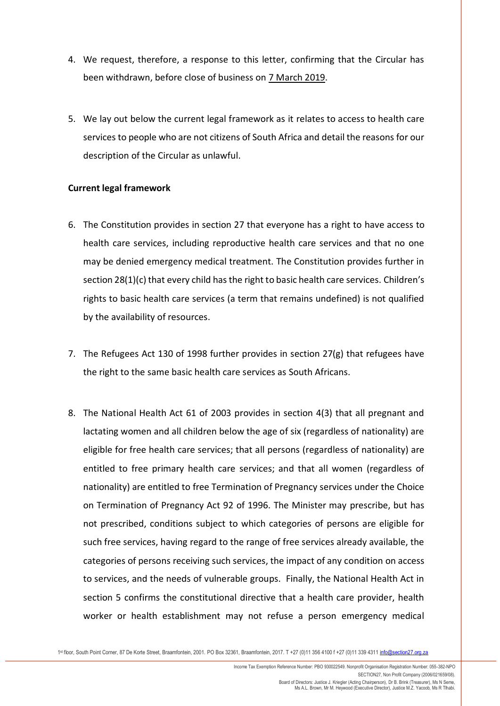- 4. We request, therefore, a response to this letter, confirming that the Circular has been withdrawn, before close of business on 7 March 2019.
- 5. We lay out below the current legal framework as it relates to access to health care services to people who are not citizens of South Africa and detail the reasons for our description of the Circular as unlawful.

## **Current legal framework**

- 6. The Constitution provides in section 27 that everyone has a right to have access to health care services, including reproductive health care services and that no one may be denied emergency medical treatment. The Constitution provides further in section 28(1)(c) that every child has the right to basic health care services. Children's rights to basic health care services (a term that remains undefined) is not qualified by the availability of resources.
- 7. The Refugees Act 130 of 1998 further provides in section 27(g) that refugees have the right to the same basic health care services as South Africans.
- 8. The National Health Act 61 of 2003 provides in section 4(3) that all pregnant and lactating women and all children below the age of six (regardless of nationality) are eligible for free health care services; that all persons (regardless of nationality) are entitled to free primary health care services; and that all women (regardless of nationality) are entitled to free Termination of Pregnancy services under the Choice on Termination of Pregnancy Act 92 of 1996. The Minister may prescribe, but has not prescribed, conditions subject to which categories of persons are eligible for such free services, having regard to the range of free services already available, the categories of persons receiving such services, the impact of any condition on access to services, and the needs of vulnerable groups. Finally, the National Health Act in section 5 confirms the constitutional directive that a health care provider, health worker or health establishment may not refuse a person emergency medical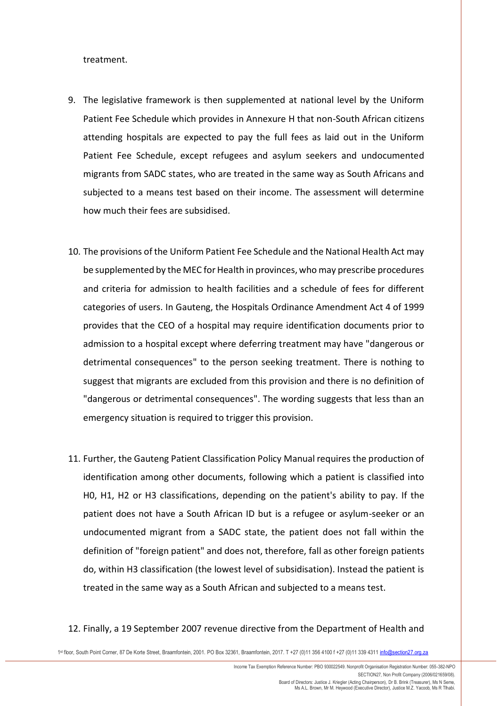treatment.

- 9. The legislative framework is then supplemented at national level by the Uniform Patient Fee Schedule which provides in Annexure H that non-South African citizens attending hospitals are expected to pay the full fees as laid out in the Uniform Patient Fee Schedule, except refugees and asylum seekers and undocumented migrants from SADC states, who are treated in the same way as South Africans and subjected to a means test based on their income. The assessment will determine how much their fees are subsidised.
- 10. The provisions of the Uniform Patient Fee Schedule and the National Health Act may be supplemented by the MEC for Health in provinces, who may prescribe procedures and criteria for admission to health facilities and a schedule of fees for different categories of users. In Gauteng, the Hospitals Ordinance Amendment Act 4 of 1999 provides that the CEO of a hospital may require identification documents prior to admission to a hospital except where deferring treatment may have "dangerous or detrimental consequences" to the person seeking treatment. There is nothing to suggest that migrants are excluded from this provision and there is no definition of "dangerous or detrimental consequences". The wording suggests that less than an emergency situation is required to trigger this provision.
- 11. Further, the Gauteng Patient Classification Policy Manual requires the production of identification among other documents, following which a patient is classified into H0, H1, H2 or H3 classifications, depending on the patient's ability to pay. If the patient does not have a South African ID but is a refugee or asylum-seeker or an undocumented migrant from a SADC state, the patient does not fall within the definition of "foreign patient" and does not, therefore, fall as other foreign patients do, within H3 classification (the lowest level of subsidisation). Instead the patient is treated in the same way as a South African and subjected to a means test.

## 12. Finally, a 19 September 2007 revenue directive from the Department of Health and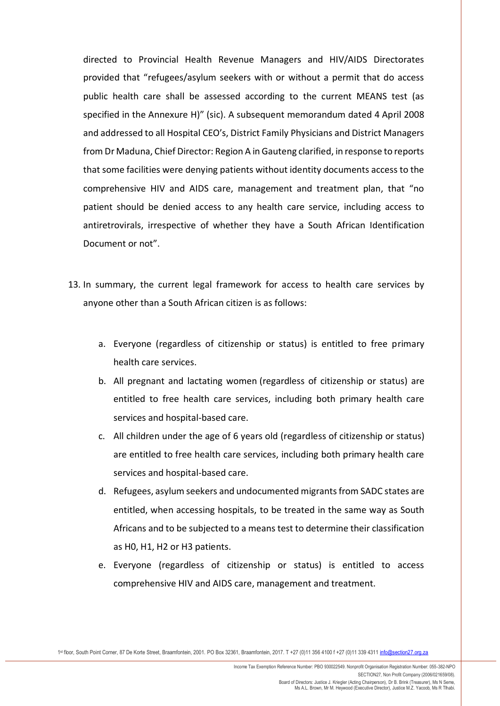directed to Provincial Health Revenue Managers and HIV/AIDS Directorates provided that "refugees/asylum seekers with or without a permit that do access public health care shall be assessed according to the current MEANS test (as specified in the Annexure H)" (sic). A subsequent memorandum dated 4 April 2008 and addressed to all Hospital CEO's, District Family Physicians and District Managers from Dr Maduna, Chief Director: Region A in Gauteng clarified, in response to reports that some facilities were denying patients without identity documents access to the comprehensive HIV and AIDS care, management and treatment plan, that "no patient should be denied access to any health care service, including access to antiretrovirals, irrespective of whether they have a South African Identification Document or not".

- 13. In summary, the current legal framework for access to health care services by anyone other than a South African citizen is as follows:
	- a. Everyone (regardless of citizenship or status) is entitled to free primary health care services.
	- b. All pregnant and lactating women (regardless of citizenship or status) are entitled to free health care services, including both primary health care services and hospital-based care.
	- c. All children under the age of 6 years old (regardless of citizenship or status) are entitled to free health care services, including both primary health care services and hospital-based care.
	- d. Refugees, asylum seekers and undocumented migrants from SADC states are entitled, when accessing hospitals, to be treated in the same way as South Africans and to be subjected to a means test to determine their classification as H0, H1, H2 or H3 patients.
	- e. Everyone (regardless of citizenship or status) is entitled to access comprehensive HIV and AIDS care, management and treatment.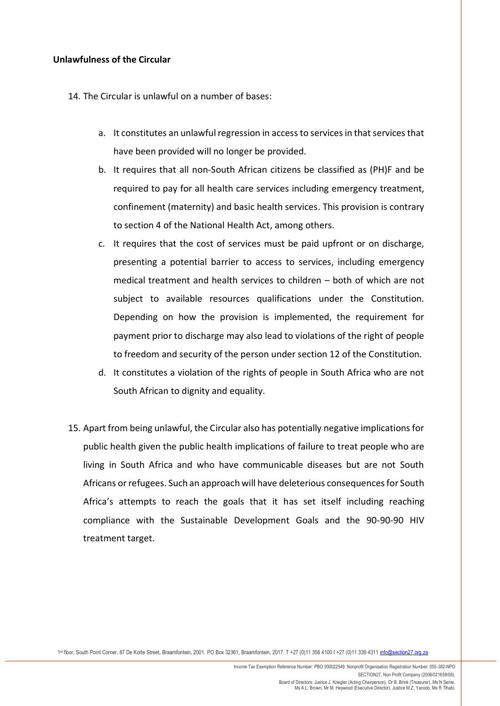## **Unlawfulness of the Circular**

14. The Circular is unlawful on a number of bases:

- a. It constitutes an unlawful regression in access to services in that services that have been provided will no longer be provided.
- b. It requires that all non-South African citizens be classified as (PH)F and be required to pay for all health care services including emergency treatment, confinement (maternity) and basic health services. This provision is contrary to section 4 of the National Health Act, among others.
- c. It requires that the cost of services must be paid upfront or on discharge, presenting a potential barrier to access to services, including emergency medical treatment and health services to children – both of which are not subject to available resources qualifications under the Constitution. Depending on how the provision is implemented, the requirement for payment prior to discharge may also lead to violations of the right of people to freedom and security of the person under section 12 of the Constitution.
- d. It constitutes a violation of the rights of people in South Africa who are not South African to dignity and equality.
- 15. Apart from being unlawful, the Circular also has potentially negative implications for public health given the public health implications of failure to treat people who are living in South Africa and who have communicable diseases but are not South Africans or refugees. Such an approach will have deleterious consequences for South Africa's attempts to reach the goals that it has set itself including reaching compliance with the Sustainable Development Goals and the 90-90-90 HIV treatment target.